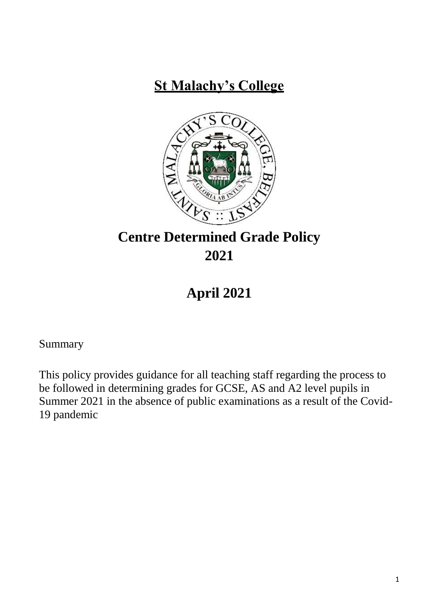# **St Malachy's College**



# **Centre Determined Grade Policy 2021**

# **April 2021**

Summary

This policy provides guidance for all teaching staff regarding the process to be followed in determining grades for GCSE, AS and A2 level pupils in Summer 2021 in the absence of public examinations as a result of the Covid-19 pandemic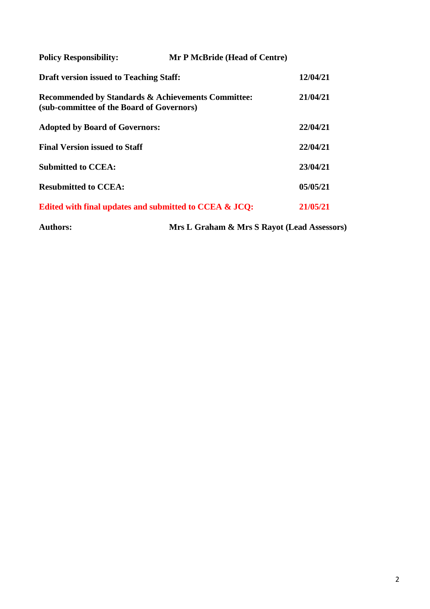| <b>Policy Responsibility:</b>                  | Mr P McBride (Head of Centre)                          |          |
|------------------------------------------------|--------------------------------------------------------|----------|
| <b>Draft version issued to Teaching Staff:</b> |                                                        | 12/04/21 |
| (sub-committee of the Board of Governors)      | Recommended by Standards & Achievements Committee:     | 21/04/21 |
| <b>Adopted by Board of Governors:</b>          |                                                        | 22/04/21 |
| <b>Final Version issued to Staff</b>           |                                                        | 22/04/21 |
| <b>Submitted to CCEA:</b>                      |                                                        | 23/04/21 |
| <b>Resubmitted to CCEA:</b>                    |                                                        | 05/05/21 |
|                                                | Edited with final updates and submitted to CCEA & JCQ: | 21/05/21 |
| <b>Authors:</b>                                | Mrs L Graham & Mrs S Rayot (Lead Assessors)            |          |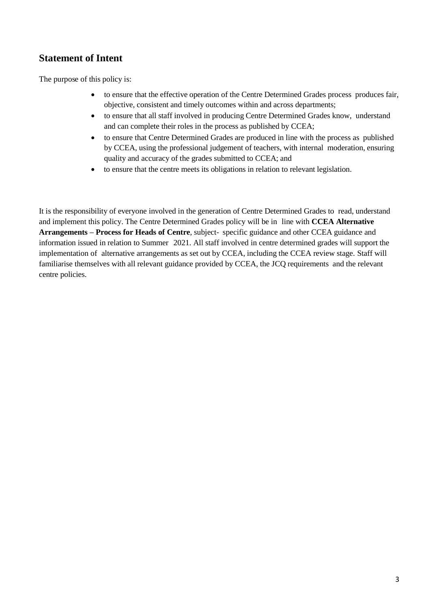#### **Statement of Intent**

The purpose of this policy is:

- to ensure that the effective operation of the Centre Determined Grades process produces fair, objective, consistent and timely outcomes within and across departments;
- to ensure that all staff involved in producing Centre Determined Grades know, understand and can complete their roles in the process as published by CCEA;
- to ensure that Centre Determined Grades are produced in line with the process as published by CCEA, using the professional judgement of teachers, with internal moderation, ensuring quality and accuracy of the grades submitted to CCEA; and
- to ensure that the centre meets its obligations in relation to relevant legislation.

It is the responsibility of everyone involved in the generation of Centre Determined Grades to read, understand and implement this policy. The Centre Determined Grades policy will be in line with **CCEA Alternative Arrangements – Process for Heads of Centre**, subject- specific guidance and other CCEA guidance and information issued in relation to Summer 2021. All staff involved in centre determined grades will support the implementation of alternative arrangements as set out by CCEA, including the CCEA review stage. Staff will familiarise themselves with all relevant guidance provided by CCEA, the JCQ requirements and the relevant centre policies.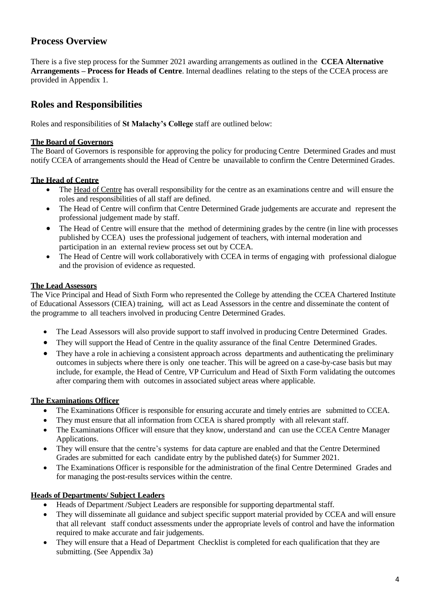#### **Process Overview**

There is a five step process for the Summer 2021 awarding arrangements as outlined in the **CCEA Alternative Arrangements – Process for Heads of Centre**. Internal deadlines relating to the steps of the CCEA process are provided in Appendix 1.

#### **Roles and Responsibilities**

Roles and responsibilities of **St Malachy's College** staff are outlined below:

#### **The Board of Governors**

The Board of Governors is responsible for approving the policy for producing Centre Determined Grades and must notify CCEA of arrangements should the Head of Centre be unavailable to confirm the Centre Determined Grades.

#### **The Head of Centre**

- The Head of Centre has overall responsibility for the centre as an examinations centre and will ensure the roles and responsibilities of all staff are defined.
- The Head of Centre will confirm that Centre Determined Grade judgements are accurate and represent the professional judgement made by staff.
- The Head of Centre will ensure that the method of determining grades by the centre (in line with processes published by CCEA) uses the professional judgement of teachers, with internal moderation and participation in an external review process set out by CCEA.
- The Head of Centre will work collaboratively with CCEA in terms of engaging with professional dialogue and the provision of evidence as requested.

#### **The Lead Assessors**

The Vice Principal and Head of Sixth Form who represented the College by attending the CCEA Chartered Institute of Educational Assessors (CIEA) training, will act as Lead Assessors in the centre and disseminate the content of the programme to all teachers involved in producing Centre Determined Grades.

- The Lead Assessors will also provide support to staff involved in producing Centre Determined Grades.
- They will support the Head of Centre in the quality assurance of the final Centre Determined Grades.
- They have a role in achieving a consistent approach across departments and authenticating the preliminary outcomes in subjects where there is only one teacher. This will be agreed on a case-by-case basis but may include, for example, the Head of Centre, VP Curriculum and Head of Sixth Form validating the outcomes after comparing them with outcomes in associated subject areas where applicable.

#### **The Examinations Officer**

- The Examinations Officer is responsible for ensuring accurate and timely entries are submitted to CCEA.
- They must ensure that all information from CCEA is shared promptly with all relevant staff.
- The Examinations Officer will ensure that they know, understand and can use the CCEA Centre Manager Applications.
- They will ensure that the centre's systems for data capture are enabled and that the Centre Determined Grades are submitted for each candidate entry by the published date(s) for Summer 2021.
- The Examinations Officer is responsible for the administration of the final Centre Determined Grades and for managing the post-results services within the centre.

#### **Heads of Departments/ Subject Leaders**

- Heads of Department /Subject Leaders are responsible for supporting departmental staff.
- They will disseminate all guidance and subject specific support material provided by CCEA and will ensure that all relevant staff conduct assessments under the appropriate levels of control and have the information required to make accurate and fair judgements.
- They will ensure that a Head of Department Checklist is completed for each qualification that they are submitting. (See Appendix 3a)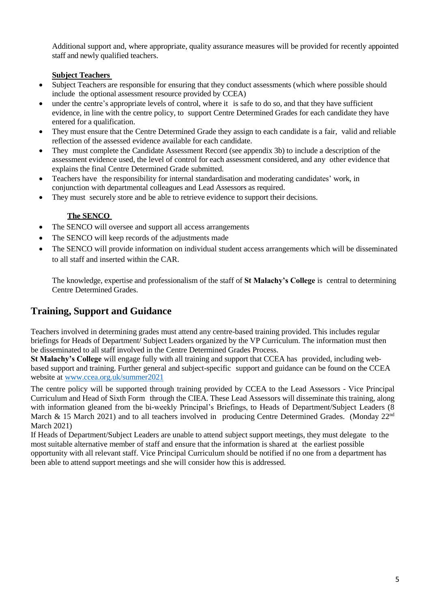Additional support and, where appropriate, quality assurance measures will be provided for recently appointed staff and newly qualified teachers.

#### **Subject Teachers**

- Subject Teachers are responsible for ensuring that they conduct assessments (which where possible should include the optional assessment resource provided by CCEA)
- under the centre's appropriate levels of control, where it is safe to do so, and that they have sufficient evidence, in line with the centre policy, to support Centre Determined Grades for each candidate they have entered for a qualification.
- They must ensure that the Centre Determined Grade they assign to each candidate is a fair, valid and reliable reflection of the assessed evidence available for each candidate.
- They must complete the Candidate Assessment Record (see appendix 3b) to include a description of the assessment evidence used, the level of control for each assessment considered, and any other evidence that explains the final Centre Determined Grade submitted.
- Teachers have the responsibility for internal standardisation and moderating candidates' work, in conjunction with departmental colleagues and Lead Assessors as required.
- They must securely store and be able to retrieve evidence to support their decisions.

#### **The SENCO**

- The SENCO will oversee and support all access arrangements
- The SENCO will keep records of the adjustments made
- The SENCO will provide information on individual student access arrangements which will be disseminated to all staff and inserted within the CAR.

The knowledge, expertise and professionalism of the staff of **St Malachy's College** is central to determining Centre Determined Grades.

## **Training, Support and Guidance**

Teachers involved in determining grades must attend any centre-based training provided. This includes regular briefings for Heads of Department/ Subject Leaders organized by the VP Curriculum. The information must then be disseminated to all staff involved in the Centre Determined Grades Process.

**St Malachy's College** will engage fully with all training and support that CCEA has provided, including webbased support and training. Further general and subject-specific support and guidance can be found on the CCEA website at [www.ccea.org.uk/](http://www.ccea.org.uk/)summer2021

The centre policy will be supported through training provided by CCEA to the Lead Assessors - Vice Principal Curriculum and Head of Sixth Form through the CIEA. These Lead Assessors will disseminate this training, along with information gleaned from the bi-weekly Principal's Briefings, to Heads of Department/Subject Leaders (8) March & 15 March 2021) and to all teachers involved in producing Centre Determined Grades. (Monday 22<sup>nd</sup> March 2021)

If Heads of Department/Subject Leaders are unable to attend subject support meetings, they must delegate to the most suitable alternative member of staff and ensure that the information is shared at the earliest possible opportunity with all relevant staff. Vice Principal Curriculum should be notified if no one from a department has been able to attend support meetings and she will consider how this is addressed.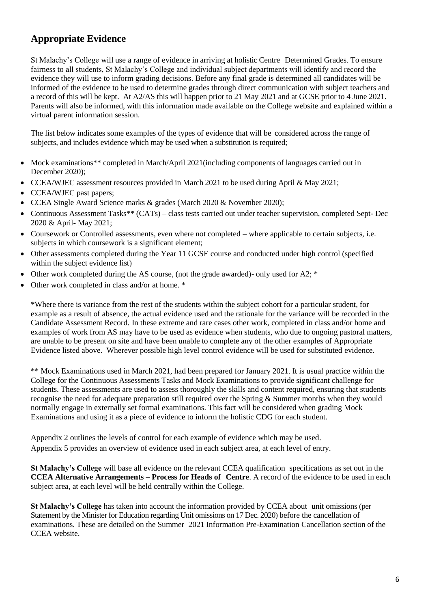## **Appropriate Evidence**

St Malachy's College will use a range of evidence in arriving at holistic Centre Determined Grades. To ensure fairness to all students, St Malachy's College and individual subject departments will identify and record the evidence they will use to inform grading decisions. Before any final grade is determined all candidates will be informed of the evidence to be used to determine grades through direct communication with subject teachers and a record of this will be kept. At A2/AS this will happen prior to 21 May 2021 and at GCSE prior to 4 June 2021. Parents will also be informed, with this information made available on the College website and explained within a virtual parent information session.

The list below indicates some examples of the types of evidence that will be considered across the range of subjects, and includes evidence which may be used when a substitution is required;

- Mock examinations\*\* completed in March/April 2021(including components of languages carried out in December 2020);
- CCEA/WJEC assessment resources provided in March 2021 to be used during April & May 2021;
- CCEA/WJEC past papers;
- CCEA Single Award Science marks & grades (March 2020 & November 2020);
- Continuous Assessment Tasks\*\* (CATs) class tests carried out under teacher supervision, completed Sept- Dec 2020 & April- May 2021;
- Coursework or Controlled assessments, even where not completed where applicable to certain subjects, i.e. subjects in which coursework is a significant element;
- Other assessments completed during the Year 11 GCSE course and conducted under high control (specified within the subject evidence list)
- $\bullet$  Other work completed during the AS course, (not the grade awarded)- only used for A2;  $\ast$
- Other work completed in class and/or at home. \*

\*Where there is variance from the rest of the students within the subject cohort for a particular student, for example as a result of absence, the actual evidence used and the rationale for the variance will be recorded in the Candidate Assessment Record. In these extreme and rare cases other work, completed in class and/or home and examples of work from AS may have to be used as evidence when students, who due to ongoing pastoral matters, are unable to be present on site and have been unable to complete any of the other examples of Appropriate Evidence listed above. Wherever possible high level control evidence will be used for substituted evidence.

\*\* Mock Examinations used in March 2021, had been prepared for January 2021. It is usual practice within the College for the Continuous Assessments Tasks and Mock Examinations to provide significant challenge for students. These assessments are used to assess thoroughly the skills and content required, ensuring that students recognise the need for adequate preparation still required over the Spring & Summer months when they would normally engage in externally set formal examinations. This fact will be considered when grading Mock Examinations and using it as a piece of evidence to inform the holistic CDG for each student.

Appendix 2 outlines the levels of control for each example of evidence which may be used. Appendix 5 provides an overview of evidence used in each subject area, at each level of entry.

**St Malachy's College** will base all evidence on the relevant CCEA qualification specifications as set out in the **CCEA Alternative Arrangements – Process for Heads of Centre**. A record of the evidence to be used in each subject area, at each level will be held centrally within the College.

**St Malachy's College** has taken into account the information provided by CCEA about unit omissions (per Statement by the Minister for Education regarding Unit omissions on 17 Dec. 2020) before the cancellation of examinations. These are detailed on the Summer 2021 Information Pre-Examination Cancellation section of the CCEA website.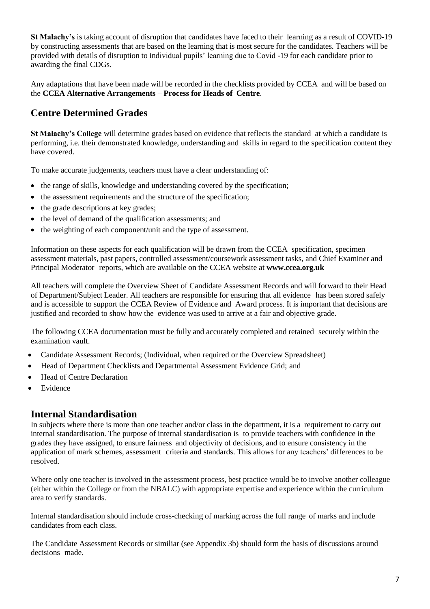**St Malachy's** is taking account of disruption that candidates have faced to their learning as a result of COVID-19 by constructing assessments that are based on the learning that is most secure for the candidates. Teachers will be provided with details of disruption to individual pupils' learning due to Covid -19 for each candidate prior to awarding the final CDGs.

Any adaptations that have been made will be recorded in the checklists provided by CCEA and will be based on the **CCEA Alternative Arrangements – Process for Heads of Centre**.

## **Centre Determined Grades**

**St Malachy's College** will determine grades based on evidence that reflects the standard at which a candidate is performing, i.e. their demonstrated knowledge, understanding and skills in regard to the specification content they have covered.

To make accurate judgements, teachers must have a clear understanding of:

- the range of skills, knowledge and understanding covered by the specification;
- the assessment requirements and the structure of the specification;
- the grade descriptions at key grades;
- the level of demand of the qualification assessments; and
- the weighting of each component/unit and the type of assessment.

Information on these aspects for each qualification will be drawn from the CCEA specification, specimen assessment materials, past papers, controlled assessment/coursework assessment tasks, and Chief Examiner and Principal Moderator reports, which are available on the CCEA website at **[www.ccea.org.uk](http://www.ccea.org.uk/)**

All teachers will complete the Overview Sheet of Candidate Assessment Records and will forward to their Head of Department/Subject Leader. All teachers are responsible for ensuring that all evidence has been stored safely and is accessible to support the CCEA Review of Evidence and Award process. It is important that decisions are justified and recorded to show how the evidence was used to arrive at a fair and objective grade.

The following CCEA documentation must be fully and accurately completed and retained securely within the examination vault.

- Candidate Assessment Records; (Individual, when required or the Overview Spreadsheet)
- Head of Department Checklists and Departmental Assessment Evidence Grid; and
- Head of Centre Declaration
- Evidence

#### **Internal Standardisation**

In subjects where there is more than one teacher and/or class in the department, it is a requirement to carry out internal standardisation. The purpose of internal standardisation is to provide teachers with confidence in the grades they have assigned, to ensure fairness and objectivity of decisions, and to ensure consistency in the application of mark schemes, assessment criteria and standards. This allows for any teachers' differences to be resolved.

Where only one teacher is involved in the assessment process, best practice would be to involve another colleague (either within the College or from the NBALC) with appropriate expertise and experience within the curriculum area to verify standards.

Internal standardisation should include cross-checking of marking across the full range of marks and include candidates from each class.

The Candidate Assessment Records or similiar (see Appendix 3b) should form the basis of discussions around decisions made.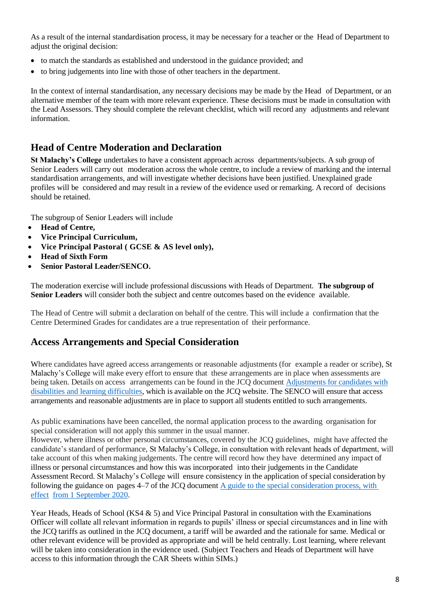As a result of the internal standardisation process, it may be necessary for a teacher or the Head of Department to adjust the original decision:

- to match the standards as established and understood in the guidance provided; and
- to bring judgements into line with those of other teachers in the department.

In the context of internal standardisation, any necessary decisions may be made by the Head of Department, or an alternative member of the team with more relevant experience. These decisions must be made in consultation with the Lead Assessors. They should complete the relevant checklist, which will record any adjustments and relevant information.

#### **Head of Centre Moderation and Declaration**

**St Malachy's College** undertakes to have a consistent approach across departments/subjects. A sub group of Senior Leaders will carry out moderation across the whole centre, to include a review of marking and the internal standardisation arrangements, and will investigate whether decisions have been justified. Unexplained grade profiles will be considered and may result in a review of the evidence used or remarking. A record of decisions should be retained.

The subgroup of Senior Leaders will include

- **Head of Centre,**
- **Vice Principal Curriculum,**
- **Vice Principal Pastoral ( GCSE & AS level only),**
- **Head of Sixth Form**
- **Senior Pastoral Leader/SENCO.**

The moderation exercise will include professional discussions with Heads of Department. **The subgroup of Senior Leaders** will consider both the subject and centre outcomes based on the evidence available.

The Head of Centre will submit a declaration on behalf of the centre. This will include a confirmation that the Centre Determined Grades for candidates are a true representation of their performance.

#### **Access Arrangements and Special Consideration**

Where candidates have agreed access arrangements or reasonable adjustments (for example a reader or scribe), St Malachy's College will make every effort to ensure that these arrangements are in place when assessments are being taken. Details on access arrangements can be found in the JCQ document [Adjustments](https://www.jcq.org.uk/wp-content/uploads/2020/08/AA-regs-2020-2021-version-for-website.pdf) for candidates with disabilities and learning [difficulties,](https://www.jcq.org.uk/wp-content/uploads/2020/08/AA-regs-2020-2021-version-for-website.pdf) which is available on the JCQ website. The SENCO will ensure that access arrangements and reasonable adjustments are in place to support all students entitled to such arrangements.

As public examinations have been cancelled, the normal application process to the awarding organisation for special consideration will not apply this summer in the usual manner.

However, where illness or other personal circumstances, covered by the JCQ guidelines, might have affected the candidate's standard of performance, St Malachy's College, in consultation with relevant heads of department, will take account of this when making judgements. The centre will record how they have determined any impact of illness or personal circumstances and how this was incorporated into their judgements in the Candidate Assessment Record. St Malachy's College will ensure consistency in the application of special consideration by following the guidance on pages 4–7 of the JCQ document A guide to the [special consideration](https://www.jcq.org.uk/wp-content/uploads/2020/08/A-guide-to-the-spec-con-process-202021-Website-version.pdf) process, with [effect](https://www.jcq.org.uk/wp-content/uploads/2020/08/A-guide-to-the-spec-con-process-202021-Website-version.pdf) from 1 [September](https://www.jcq.org.uk/wp-content/uploads/2020/08/A-guide-to-the-spec-con-process-202021-Website-version.pdf) 2020.

Year Heads, Heads of School (KS4 & 5) and Vice Principal Pastoral in consultation with the Examinations Officer will collate all relevant information in regards to pupils' illness or special circumstances and in line with the JCQ tariffs as outlined in the JCQ document, a tariff will be awarded and the rationale for same. Medical or other relevant evidence will be provided as appropriate and will be held centrally. Lost learning, where relevant will be taken into consideration in the evidence used. (Subject Teachers and Heads of Department will have access to this information through the CAR Sheets within SIMs.)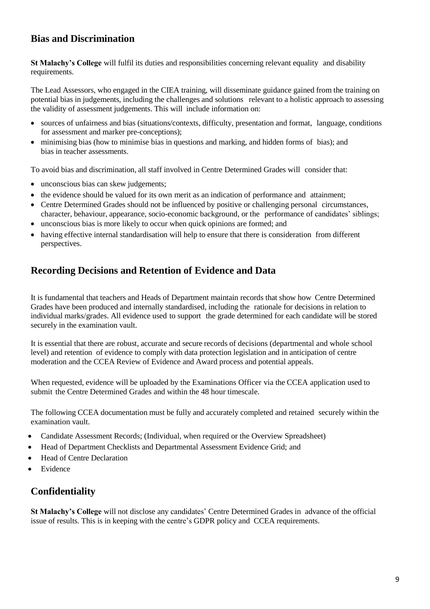## **Bias and Discrimination**

**St Malachy's College** will fulfil its duties and responsibilities concerning relevant equality and disability requirements.

The Lead Assessors, who engaged in the CIEA training, will disseminate guidance gained from the training on potential bias in judgements, including the challenges and solutions relevant to a holistic approach to assessing the validity of assessment judgements. This will include information on:

- sources of unfairness and bias (situations/contexts, difficulty, presentation and format, language, conditions for assessment and marker pre-conceptions);
- minimising bias (how to minimise bias in questions and marking, and hidden forms of bias); and bias in teacher assessments.

To avoid bias and discrimination, all staff involved in Centre Determined Grades will consider that:

- unconscious bias can skew judgements;
- the evidence should be valued for its own merit as an indication of performance and attainment;
- Centre Determined Grades should not be influenced by positive or challenging personal circumstances, character, behaviour, appearance, socio-economic background, or the performance of candidates' siblings;
- unconscious bias is more likely to occur when quick opinions are formed; and
- having effective internal standardisation will help to ensure that there is consideration from different perspectives.

#### **Recording Decisions and Retention of Evidence and Data**

It is fundamental that teachers and Heads of Department maintain records that show how Centre Determined Grades have been produced and internally standardised, including the rationale for decisions in relation to individual marks/grades. All evidence used to support the grade determined for each candidate will be stored securely in the examination vault.

It is essential that there are robust, accurate and secure records of decisions (departmental and whole school level) and retention of evidence to comply with data protection legislation and in anticipation of centre moderation and the CCEA Review of Evidence and Award process and potential appeals.

When requested, evidence will be uploaded by the Examinations Officer via the CCEA application used to submit the Centre Determined Grades and within the 48 hour timescale.

The following CCEA documentation must be fully and accurately completed and retained securely within the examination vault.

- Candidate Assessment Records; (Individual, when required or the Overview Spreadsheet)
- Head of Department Checklists and Departmental Assessment Evidence Grid; and
- Head of Centre Declaration
- Evidence

#### **Confidentiality**

**St Malachy's College** will not disclose any candidates' Centre Determined Grades in advance of the official issue of results. This is in keeping with the centre's GDPR policy and CCEA requirements.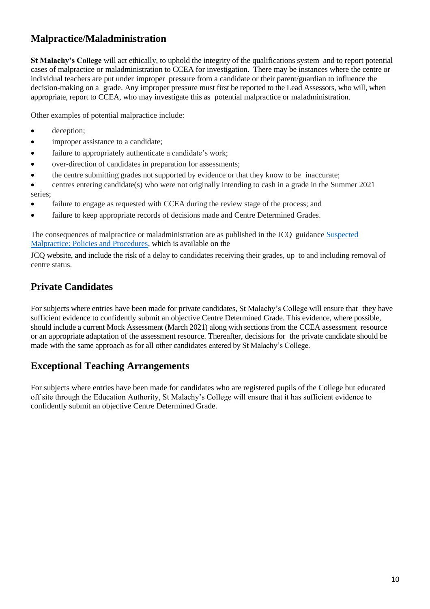## **Malpractice/Maladministration**

**St Malachy's College** will act ethically, to uphold the integrity of the qualifications system and to report potential cases of malpractice or maladministration to CCEA for investigation. There may be instances where the centre or individual teachers are put under improper pressure from a candidate or their parent/guardian to influence the decision-making on a grade. Any improper pressure must first be reported to the Lead Assessors, who will, when appropriate, report to CCEA, who may investigate this as potential malpractice or maladministration.

Other examples of potential malpractice include:

- deception;
- improper assistance to a candidate;
- failure to appropriately authenticate a candidate's work;
- over-direction of candidates in preparation for assessments;
- the centre submitting grades not supported by evidence or that they know to be inaccurate;
- centres entering candidate(s) who were not originally intending to cash in a grade in the Summer 2021 series;
- failure to engage as requested with CCEA during the review stage of the process; and
- failure to keep appropriate records of decisions made and Centre Determined Grades.

The consequences of malpractice or maladministration are as published in the JCQ guidance [Suspected](https://www.jcq.org.uk/wp-content/uploads/2020/09/Malpractice_20-21_v2-1.pdf) [Malpractice:](https://www.jcq.org.uk/wp-content/uploads/2020/09/Malpractice_20-21_v2-1.pdf) Policies and Procedures*,* which is available on the

JCQ website, and include the risk of a delay to candidates receiving their grades, up to and including removal of centre status.

## **Private Candidates**

For subjects where entries have been made for private candidates, St Malachy's College will ensure that they have sufficient evidence to confidently submit an objective Centre Determined Grade. This evidence, where possible, should include a current Mock Assessment (March 2021) along with sections from the CCEA assessment resource or an appropriate adaptation of the assessment resource. Thereafter, decisions for the private candidate should be made with the same approach as for all other candidates entered by St Malachy's College.

## **Exceptional Teaching Arrangements**

For subjects where entries have been made for candidates who are registered pupils of the College but educated off site through the Education Authority, St Malachy's College will ensure that it has sufficient evidence to confidently submit an objective Centre Determined Grade.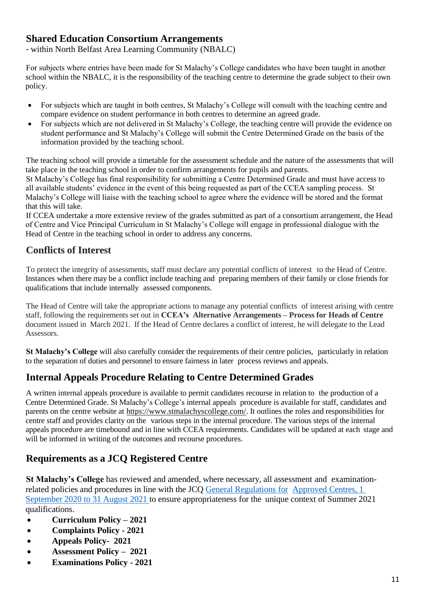#### **Shared Education Consortium Arrangements**

- within North Belfast Area Learning Community (NBALC)

For subjects where entries have been made for St Malachy's College candidates who have been taught in another school within the NBALC, it is the responsibility of the teaching centre to determine the grade subject to their own policy.

- For subjects which are taught in both centres, St Malachy's College will consult with the teaching centre and compare evidence on student performance in both centres to determine an agreed grade.
- For subjects which are not delivered in St Malachy's College, the teaching centre will provide the evidence on student performance and St Malachy's College will submit the Centre Determined Grade on the basis of the information provided by the teaching school.

The teaching school will provide a timetable for the assessment schedule and the nature of the assessments that will take place in the teaching school in order to confirm arrangements for pupils and parents.

St Malachy's College has final responsibility for submitting a Centre Determined Grade and must have access to all available students' evidence in the event of this being requested as part of the CCEA sampling process. St Malachy's College will liaise with the teaching school to agree where the evidence will be stored and the format that this will take.

If CCEA undertake a more extensive review of the grades submitted as part of a consortium arrangement, the Head of Centre and Vice Principal Curriculum in St Malachy's College will engage in professional dialogue with the Head of Centre in the teaching school in order to address any concerns.

## **Conflicts of Interest**

To protect the integrity of assessments, staff must declare any potential conflicts of interest to the Head of Centre. Instances when there may be a conflict include teaching and preparing members of their family or close friends for qualifications that include internally assessed components.

The Head of Centre will take the appropriate actions to manage any potential conflicts of interest arising with centre staff, following the requirements set out in **CCEA's Alternative Arrangements – Process for Heads of Centre** document issued in March 2021. If the Head of Centre declares a conflict of interest, he will delegate to the Lead Assessors.

**St Malachy's College** will also carefully consider the requirements of their centre policies, particularly in relation to the separation of duties and personnel to ensure fairness in later process reviews and appeals.

## **Internal Appeals Procedure Relating to Centre Determined Grades**

A written internal appeals procedure is available to permit candidates recourse in relation to the production of a Centre Determined Grade. St Malachy's College's internal appeals procedure is available for staff, candidates and parents on the centre website at [https://www.stmalachyscollege.com/.](https://www.stmalachyscollege.com/) It outlines the roles and responsibilities for centre staff and provides clarity on the various steps in the internal procedure. The various steps of the internal appeals procedure are timebound and in line with CCEA requirements. Candidates will be updated at each stage and will be informed in writing of the outcomes and recourse procedures.

#### **Requirements as a JCQ Registered Centre**

**St Malachy's College** has reviewed and amended, where necessary, all assessment and examinationrelated policies and procedures in line with the JCQ General [Regulations for](https://www.jcq.org.uk/wp-content/uploads/2020/09/Gen_regs_approved_centres_20-21_FINAL.pdf) [Approved](https://www.jcq.org.uk/wp-content/uploads/2020/09/Gen_regs_approved_centres_20-21_FINAL.pdf) Centres, 1 [September](https://www.jcq.org.uk/wp-content/uploads/2020/09/Gen_regs_approved_centres_20-21_FINAL.pdf) 2020 to 31 August 2021 to ensure appropriateness for the unique context of Summer 2021 qualifications.

- **Curriculum Policy – 2021**
- **Complaints Policy - 2021**
- **Appeals Policy- 2021**
- **Assessment Policy 2021**
- **Examinations Policy - 2021**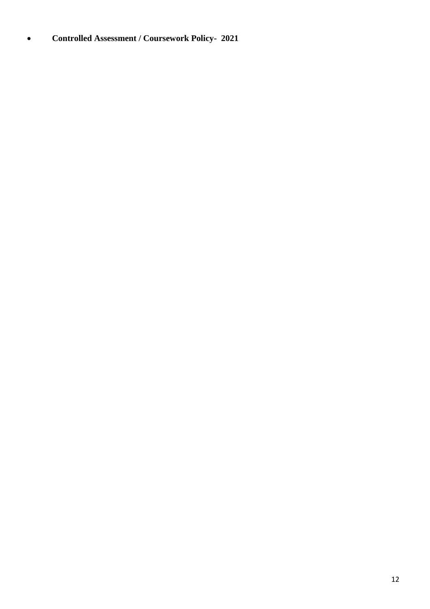**Controlled Assessment / Coursework Policy- 2021**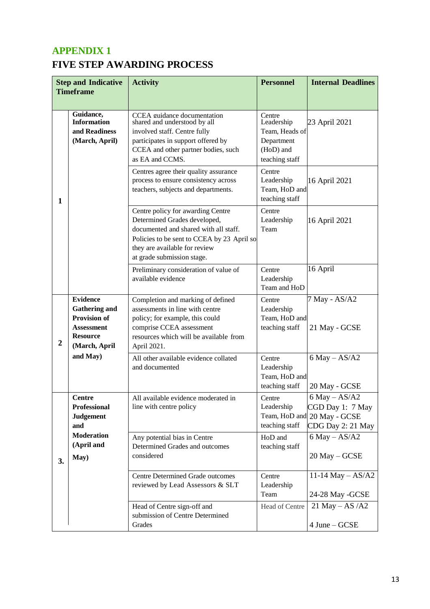## **APPENDIX 1 FIVE STEP AWARDING PROCESS**

|    | <b>Step and Indicative</b><br><b>Timeframe</b>                                                                          | <b>Activity</b>                                                                                                                                                                                                         | <b>Personnel</b>                                                                    | <b>Internal Deadlines</b>                                                                 |
|----|-------------------------------------------------------------------------------------------------------------------------|-------------------------------------------------------------------------------------------------------------------------------------------------------------------------------------------------------------------------|-------------------------------------------------------------------------------------|-------------------------------------------------------------------------------------------|
|    |                                                                                                                         |                                                                                                                                                                                                                         |                                                                                     |                                                                                           |
|    | Guidance,<br><b>Information</b><br>and Readiness<br>(March, April)                                                      | CCEA guidance documentation<br>shared and understood by all<br>involved staff. Centre fully<br>participates in support offered by<br>CCEA and other partner bodies, such<br>as EA and CCMS.                             | Centre<br>Leadership<br>Team, Heads of<br>Department<br>(HoD) and<br>teaching staff | 23 April 2021                                                                             |
| 1  |                                                                                                                         | Centres agree their quality assurance<br>process to ensure consistency across<br>teachers, subjects and departments.                                                                                                    | Centre<br>Leadership<br>Team, HoD and<br>teaching staff                             | 16 April 2021                                                                             |
|    |                                                                                                                         | Centre policy for awarding Centre<br>Determined Grades developed,<br>documented and shared with all staff.<br>Policies to be sent to CCEA by 23 April so<br>they are available for review<br>at grade submission stage. | Centre<br>Leadership<br>Team                                                        | 16 April 2021                                                                             |
|    |                                                                                                                         | Preliminary consideration of value of<br>available evidence                                                                                                                                                             | Centre<br>Leadership<br>Team and HoD                                                | 16 April                                                                                  |
| 2  | <b>Evidence</b><br><b>Gathering and</b><br><b>Provision of</b><br><b>Assessment</b><br><b>Resource</b><br>(March, April | Completion and marking of defined<br>assessments in line with centre<br>policy; for example, this could<br>comprise CCEA assessment<br>resources which will be available from<br>April 2021.                            | Centre<br>Leadership<br>Team, HoD and<br>teaching staff                             | 7 May - AS/A2<br>21 May - GCSE                                                            |
|    | and May)                                                                                                                | All other available evidence collated<br>and documented                                                                                                                                                                 | Centre<br>Leadership<br>Team, HoD and<br>teaching staff                             | $6$ May $-$ AS/A2<br>20 May - GCSE                                                        |
|    | Centre<br>Professional<br><b>Judgement</b><br>and                                                                       | All available evidence moderated in<br>line with centre policy                                                                                                                                                          | Centre<br>Leadership<br>teaching staff                                              | $6$ May $-$ AS/A2<br>CGD Day 1: 7 May<br>Team, HoD and 20 May - GCSE<br>CDG Day 2: 21 May |
| 3. | <b>Moderation</b><br>(April and<br>May)                                                                                 | Any potential bias in Centre<br>Determined Grades and outcomes<br>considered                                                                                                                                            | HoD and<br>teaching staff                                                           | $6$ May $-$ AS/A2<br>20 May - GCSE                                                        |
|    |                                                                                                                         | <b>Centre Determined Grade outcomes</b><br>reviewed by Lead Assessors & SLT                                                                                                                                             | Centre<br>Leadership<br>Team                                                        | 11-14 May $-$ AS/A2<br>24-28 May -GCSE                                                    |
|    |                                                                                                                         | Head of Centre sign-off and<br>submission of Centre Determined<br>Grades                                                                                                                                                | Head of Centre                                                                      | 21 May $-$ AS $/$ A2<br>4 June – GCSE                                                     |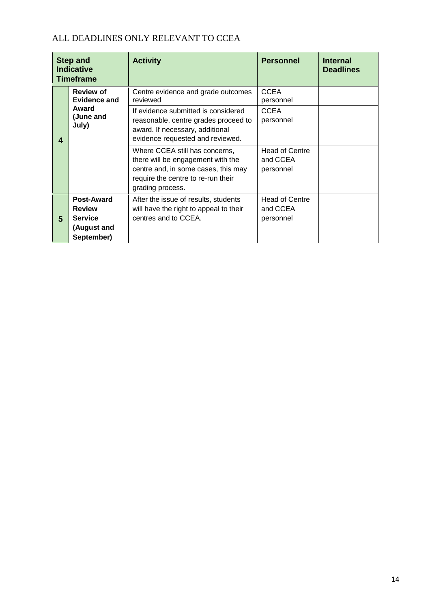#### ALL DEADLINES ONLY RELEVANT TO CCEA

|   | <b>Step and</b><br><b>Indicative</b><br><b>Timeframe</b>                   | <b>Activity</b>                                                                                                                                                      | <b>Personnel</b>                               | <b>Internal</b><br><b>Deadlines</b> |
|---|----------------------------------------------------------------------------|----------------------------------------------------------------------------------------------------------------------------------------------------------------------|------------------------------------------------|-------------------------------------|
|   | <b>Review of</b><br>Evidence and                                           | Centre evidence and grade outcomes<br>reviewed                                                                                                                       | <b>CCEA</b><br>personnel                       |                                     |
| 4 | Award<br>(June and<br>July)                                                | If evidence submitted is considered<br>reasonable, centre grades proceed to<br>award. If necessary, additional<br>evidence requested and reviewed.                   | <b>CCEA</b><br>personnel                       |                                     |
|   |                                                                            | Where CCEA still has concerns,<br>there will be engagement with the<br>centre and, in some cases, this may<br>require the centre to re-run their<br>grading process. | <b>Head of Centre</b><br>and CCEA<br>personnel |                                     |
| 5 | Post-Award<br><b>Review</b><br><b>Service</b><br>(August and<br>September) | After the issue of results, students<br>will have the right to appeal to their<br>centres and to CCEA.                                                               | <b>Head of Centre</b><br>and CCEA<br>personnel |                                     |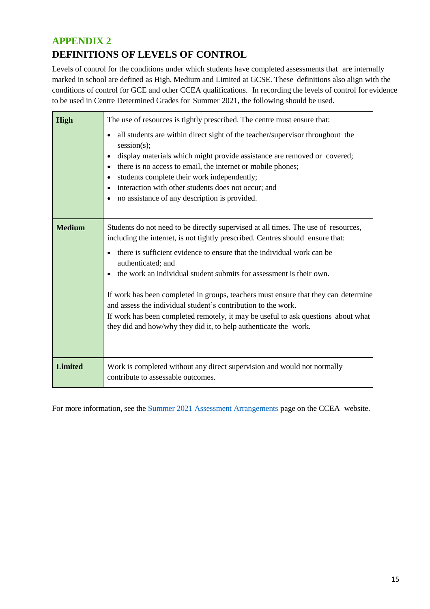## **APPENDIX 2 DEFINITIONS OF LEVELS OF CONTROL**

Levels of control for the conditions under which students have completed assessments that are internally marked in school are defined as High, Medium and Limited at GCSE. These definitions also align with the conditions of control for GCE and other CCEA qualifications. In recording the levels of control for evidence to be used in Centre Determined Grades for Summer 2021, the following should be used.

| <b>High</b>    | The use of resources is tightly prescribed. The centre must ensure that:                                                                                                                                                                                                                                                                                                                                                                                                                                                                                                                                                                                    |
|----------------|-------------------------------------------------------------------------------------------------------------------------------------------------------------------------------------------------------------------------------------------------------------------------------------------------------------------------------------------------------------------------------------------------------------------------------------------------------------------------------------------------------------------------------------------------------------------------------------------------------------------------------------------------------------|
|                | all students are within direct sight of the teacher/supervisor throughout the<br>$\bullet$<br>session(s);<br>display materials which might provide assistance are removed or covered;<br>there is no access to email, the internet or mobile phones;<br>students complete their work independently;<br>interaction with other students does not occur; and<br>no assistance of any description is provided.<br>٠                                                                                                                                                                                                                                            |
| <b>Medium</b>  | Students do not need to be directly supervised at all times. The use of resources,<br>including the internet, is not tightly prescribed. Centres should ensure that:<br>there is sufficient evidence to ensure that the individual work can be<br>authenticated; and<br>the work an individual student submits for assessment is their own.<br>If work has been completed in groups, teachers must ensure that they can determine<br>and assess the individual student's contribution to the work.<br>If work has been completed remotely, it may be useful to ask questions about what<br>they did and how/why they did it, to help authenticate the work. |
| <b>Limited</b> | Work is completed without any direct supervision and would not normally<br>contribute to assessable outcomes.                                                                                                                                                                                                                                                                                                                                                                                                                                                                                                                                               |

For more information, see the Summer 2021 Assessment [Arrangements](https://ccea.org.uk/examiner-centre-support/examinations-support/summer-2021-assessment-arrangements) page on the CCEA website.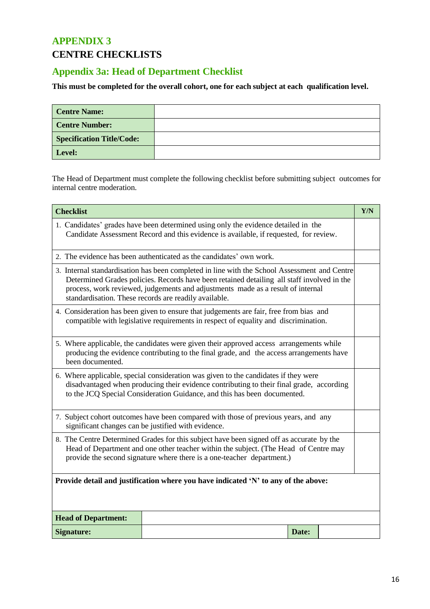## **APPENDIX 3 CENTRE CHECKLISTS**

## **Appendix 3a: Head of Department Checklist**

#### **This must be completed for the overall cohort, one for each subject at each qualification level.**

| <b>Centre Name:</b>              |  |
|----------------------------------|--|
| <b>Centre Number:</b>            |  |
| <b>Specification Title/Code:</b> |  |
| Level:                           |  |

The Head of Department must complete the following checklist before submitting subject outcomes for internal centre moderation.

| <b>Checklist</b><br>Y/N                                                                                                                                                                                                                                                                                                                |                                                                     |  |  |  |
|----------------------------------------------------------------------------------------------------------------------------------------------------------------------------------------------------------------------------------------------------------------------------------------------------------------------------------------|---------------------------------------------------------------------|--|--|--|
| 1. Candidates' grades have been determined using only the evidence detailed in the<br>Candidate Assessment Record and this evidence is available, if requested, for review.                                                                                                                                                            |                                                                     |  |  |  |
|                                                                                                                                                                                                                                                                                                                                        | 2. The evidence has been authenticated as the candidates' own work. |  |  |  |
| 3. Internal standardisation has been completed in line with the School Assessment and Centre<br>Determined Grades policies. Records have been retained detailing all staff involved in the<br>process, work reviewed, judgements and adjustments made as a result of internal<br>standardisation. These records are readily available. |                                                                     |  |  |  |
| 4. Consideration has been given to ensure that judgements are fair, free from bias and<br>compatible with legislative requirements in respect of equality and discrimination.                                                                                                                                                          |                                                                     |  |  |  |
| 5. Where applicable, the candidates were given their approved access arrangements while<br>producing the evidence contributing to the final grade, and the access arrangements have<br>been documented.                                                                                                                                |                                                                     |  |  |  |
| 6. Where applicable, special consideration was given to the candidates if they were<br>disadvantaged when producing their evidence contributing to their final grade, according<br>to the JCQ Special Consideration Guidance, and this has been documented.                                                                            |                                                                     |  |  |  |
| 7. Subject cohort outcomes have been compared with those of previous years, and any<br>significant changes can be justified with evidence.                                                                                                                                                                                             |                                                                     |  |  |  |
| 8. The Centre Determined Grades for this subject have been signed off as accurate by the<br>Head of Department and one other teacher within the subject. (The Head of Centre may<br>provide the second signature where there is a one-teacher department.)                                                                             |                                                                     |  |  |  |
| Provide detail and justification where you have indicated 'N' to any of the above:                                                                                                                                                                                                                                                     |                                                                     |  |  |  |
| <b>Head of Department:</b>                                                                                                                                                                                                                                                                                                             |                                                                     |  |  |  |
| Signature:<br>Date:                                                                                                                                                                                                                                                                                                                    |                                                                     |  |  |  |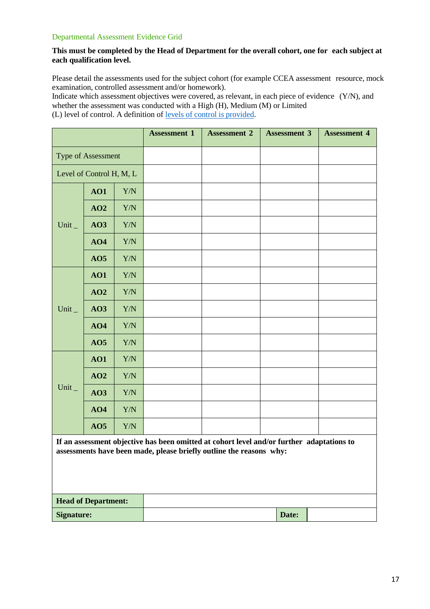#### Departmental Assessment Evidence Grid

#### **This must be completed by the Head of Department for the overall cohort, one for each subject at each qualification level.**

Please detail the assessments used for the subject cohort (for example CCEA assessment resource, mock examination, controlled assessment and/or homework).

Indicate which assessment objectives were covered, as relevant, in each piece of evidence (Y/N), and whether the assessment was conducted with a High (H), Medium (M) or Limited (L) level of control. A definition of levels of control is [provided.](https://ccea.org.uk/document/7905)

|             |                            |             | <b>Assessment 1</b> | <b>Assessment 2</b>                                                                                                                                              | <b>Assessment 3</b> | <b>Assessment 4</b> |
|-------------|----------------------------|-------------|---------------------|------------------------------------------------------------------------------------------------------------------------------------------------------------------|---------------------|---------------------|
|             | Type of Assessment         |             |                     |                                                                                                                                                                  |                     |                     |
|             | Level of Control H, M, L   |             |                     |                                                                                                                                                                  |                     |                     |
|             | AO1                        | ${\rm Y/N}$ |                     |                                                                                                                                                                  |                     |                     |
|             | AO2                        | Y/N         |                     |                                                                                                                                                                  |                     |                     |
| Unit $_{-}$ | AO3                        | Y/N         |                     |                                                                                                                                                                  |                     |                     |
|             | AO4                        | Y/N         |                     |                                                                                                                                                                  |                     |                     |
|             | AO5                        | Y/N         |                     |                                                                                                                                                                  |                     |                     |
|             | AO1                        | Y/N         |                     |                                                                                                                                                                  |                     |                     |
|             | AO2                        | Y/N         |                     |                                                                                                                                                                  |                     |                     |
| Unit $_{-}$ | AO3                        | Y/N         |                     |                                                                                                                                                                  |                     |                     |
|             | AO4                        | Y/N         |                     |                                                                                                                                                                  |                     |                     |
|             | AO5                        | Y/N         |                     |                                                                                                                                                                  |                     |                     |
|             | AO1                        | Y/N         |                     |                                                                                                                                                                  |                     |                     |
|             | AO2                        | Y/N         |                     |                                                                                                                                                                  |                     |                     |
| Unit_       | AO3                        | Y/N         |                     |                                                                                                                                                                  |                     |                     |
|             | AO4                        | Y/N         |                     |                                                                                                                                                                  |                     |                     |
|             | AO5                        | Y/N         |                     |                                                                                                                                                                  |                     |                     |
|             |                            |             |                     | If an assessment objective has been omitted at cohort level and/or further adaptations to<br>assessments have been made, please briefly outline the reasons why: |                     |                     |
|             |                            |             |                     |                                                                                                                                                                  |                     |                     |
|             | <b>Head of Department:</b> |             |                     |                                                                                                                                                                  |                     |                     |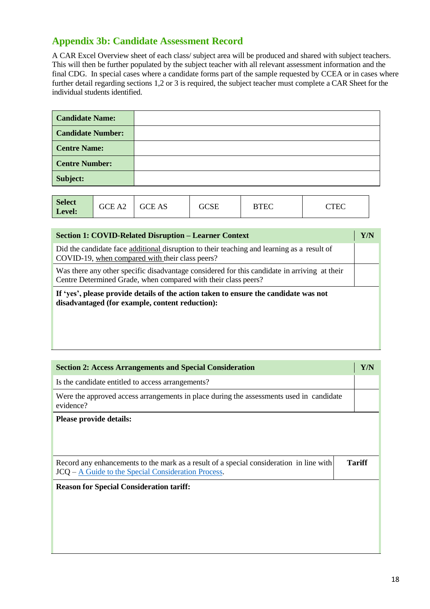# **Appendix 3b: Candidate Assessment Record**

A CAR Excel Overview sheet of each class/ subject area will be produced and shared with subject teachers. This will then be further populated by the subject teacher with all relevant assessment information and the final CDG. In special cases where a candidate forms part of the sample requested by CCEA or in cases where further detail regarding sections 1,2 or 3 is required, the subject teacher must complete a CAR Sheet for the individual students identified.

| <b>Candidate Name:</b>   |  |
|--------------------------|--|
| <b>Candidate Number:</b> |  |
| <b>Centre Name:</b>      |  |
| <b>Centre Number:</b>    |  |
| Subject:                 |  |

| <b>Section 1: COVID-Related Disruption – Learner Context</b>                                                                                                   | Y/N |  |
|----------------------------------------------------------------------------------------------------------------------------------------------------------------|-----|--|
| Did the candidate face additional disruption to their teaching and learning as a result of<br>COVID-19, when compared with their class peers?                  |     |  |
| Was there any other specific disadvantage considered for this candidate in arriving at their<br>Centre Determined Grade, when compared with their class peers? |     |  |
| If 'yes', please provide details of the action taken to ensure the candidate was not<br>disadvantaged (for example, content reduction):                        |     |  |

| <b>Section 2: Access Arrangements and Special Consideration</b>                                                                                                        |  |  |
|------------------------------------------------------------------------------------------------------------------------------------------------------------------------|--|--|
| Is the candidate entitled to access arrangements?                                                                                                                      |  |  |
| Were the approved access arrangements in place during the assessments used in candidate<br>evidence?                                                                   |  |  |
| Please provide details:                                                                                                                                                |  |  |
|                                                                                                                                                                        |  |  |
|                                                                                                                                                                        |  |  |
| Record any enhancements to the mark as a result of a special consideration in line with<br><b>Tariff</b><br><b>JCQ</b> – A Guide to the Special Consideration Process. |  |  |
|                                                                                                                                                                        |  |  |
| <b>Reason for Special Consideration tariff:</b>                                                                                                                        |  |  |
|                                                                                                                                                                        |  |  |
|                                                                                                                                                                        |  |  |
|                                                                                                                                                                        |  |  |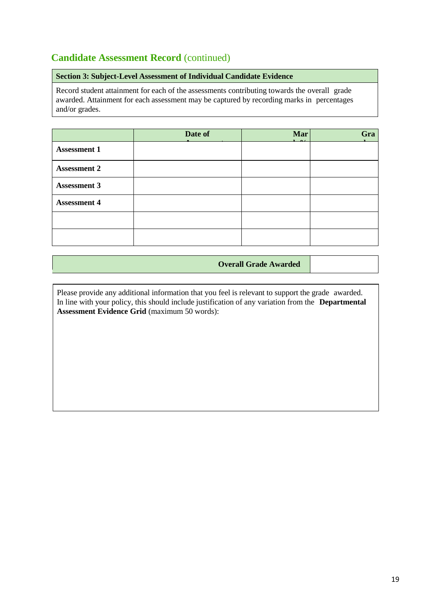#### **Candidate Assessment Record** (continued)

#### **Section 3: Subject-Level Assessment of Individual Candidate Evidence**

Record student attainment for each of the assessments contributing towards the overall grade awarded. Attainment for each assessment may be captured by recording marks in percentages and/or grades.

|                     | Date of | Mar<br>$\sim$ | Gra |
|---------------------|---------|---------------|-----|
| <b>Assessment 1</b> |         |               |     |
| <b>Assessment 2</b> |         |               |     |
| <b>Assessment 3</b> |         |               |     |
| <b>Assessment 4</b> |         |               |     |
|                     |         |               |     |
|                     |         |               |     |

**Overall Grade Awarded**

Please provide any additional information that you feel is relevant to support the grade awarded. In line with your policy, this should include justification of any variation from the **Departmental Assessment Evidence Grid** (maximum 50 words):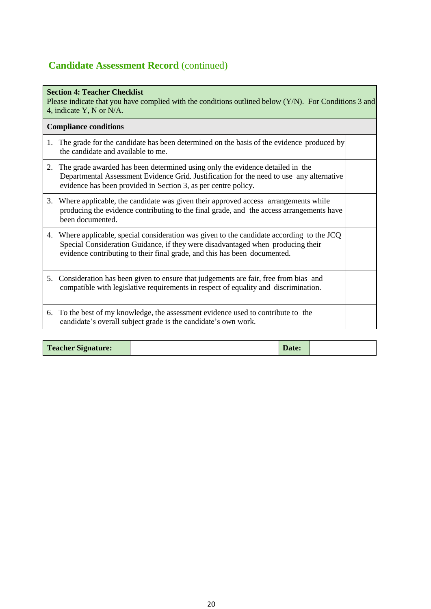## **Candidate Assessment Record** (continued)

| <b>Section 4: Teacher Checklist</b><br>Please indicate that you have complied with the conditions outlined below (Y/N). For Conditions 3 and<br>4, indicate Y, N or N/A. |                                                                                                                                                                                                                                                         |  |  |
|--------------------------------------------------------------------------------------------------------------------------------------------------------------------------|---------------------------------------------------------------------------------------------------------------------------------------------------------------------------------------------------------------------------------------------------------|--|--|
|                                                                                                                                                                          | <b>Compliance conditions</b>                                                                                                                                                                                                                            |  |  |
| 1.                                                                                                                                                                       | The grade for the candidate has been determined on the basis of the evidence produced by<br>the candidate and available to me.                                                                                                                          |  |  |
|                                                                                                                                                                          | 2. The grade awarded has been determined using only the evidence detailed in the<br>Departmental Assessment Evidence Grid. Justification for the need to use any alternative<br>evidence has been provided in Section 3, as per centre policy.          |  |  |
| 3.                                                                                                                                                                       | Where applicable, the candidate was given their approved access arrangements while<br>producing the evidence contributing to the final grade, and the access arrangements have<br>been documented.                                                      |  |  |
| 4.                                                                                                                                                                       | Where applicable, special consideration was given to the candidate according to the JCQ<br>Special Consideration Guidance, if they were disadvantaged when producing their<br>evidence contributing to their final grade, and this has been documented. |  |  |
|                                                                                                                                                                          | 5. Consideration has been given to ensure that judgements are fair, free from bias and<br>compatible with legislative requirements in respect of equality and discrimination.                                                                           |  |  |
| 6.                                                                                                                                                                       | To the best of my knowledge, the assessment evidence used to contribute to the<br>candidate's overall subject grade is the candidate's own work.                                                                                                        |  |  |

| <b>Teacher Signature:</b> |  | Date: |  |
|---------------------------|--|-------|--|
|---------------------------|--|-------|--|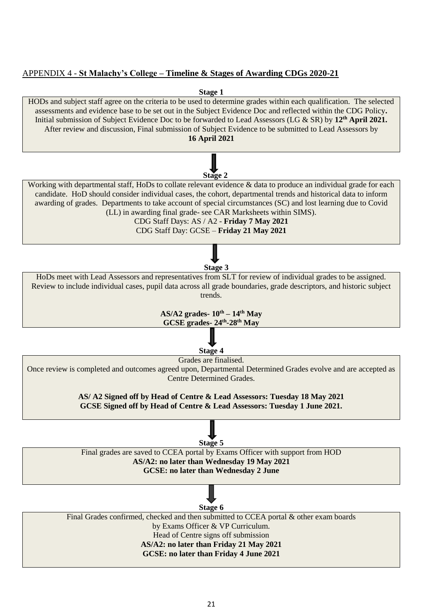#### APPENDIX 4 - **St Malachy's College – Timeline & Stages of Awarding CDGs 2020-21**

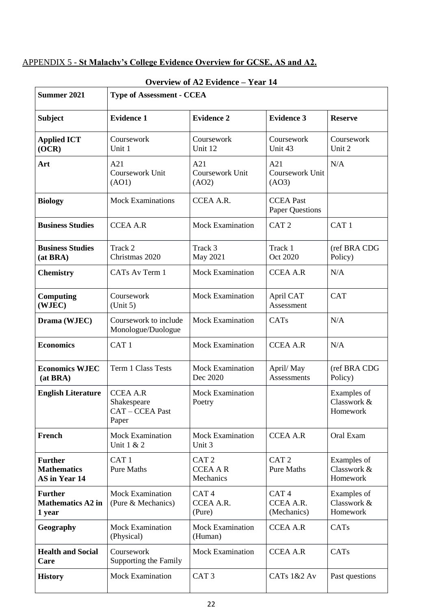#### APPENDIX 5 - **St Malachy's College Evidence Overview for GCSE, AS and A2.**

| <b>Summer 2021</b>                                    | OVERVIEW OF $A\angle$ evidence – <b>Teal</b> 14<br><b>Type of Assessment - CCEA</b> |                                                  |                                              |                                        |  |
|-------------------------------------------------------|-------------------------------------------------------------------------------------|--------------------------------------------------|----------------------------------------------|----------------------------------------|--|
| <b>Subject</b>                                        | <b>Evidence 1</b>                                                                   | <b>Evidence 2</b>                                | <b>Evidence 3</b>                            | <b>Reserve</b>                         |  |
| <b>Applied ICT</b><br>(OCR)                           | Coursework<br>Unit 1                                                                | Coursework<br>Unit 12                            | Coursework<br>Unit 43                        | Coursework<br>Unit 2                   |  |
| Art                                                   | A21<br>Coursework Unit<br>(AO1)                                                     | A21<br>Coursework Unit<br>(AO2)                  | A21<br>Coursework Unit<br>(AO3)              | N/A                                    |  |
| <b>Biology</b>                                        | <b>Mock Examinations</b>                                                            | CCEA A.R.                                        | <b>CCEA Past</b><br><b>Paper Questions</b>   |                                        |  |
| <b>Business Studies</b>                               | <b>CCEA A.R</b>                                                                     | <b>Mock Examination</b>                          | CAT <sub>2</sub>                             | CAT <sub>1</sub>                       |  |
| <b>Business Studies</b><br>(at BRA)                   | Track 2<br>Christmas 2020                                                           | Track 3<br>May 2021                              | Track 1<br>Oct 2020                          | (ref BRA CDG<br>Policy)                |  |
| <b>Chemistry</b>                                      | CATs Av Term 1                                                                      | <b>Mock Examination</b>                          | <b>CCEA A.R</b>                              | N/A                                    |  |
| Computing<br>(WJEC)                                   | Coursework<br>(Unit 5)                                                              | <b>Mock Examination</b>                          | April CAT<br>Assessment                      | <b>CAT</b>                             |  |
| Drama (WJEC)                                          | Coursework to include<br>Monologue/Duologue                                         | <b>Mock Examination</b>                          | CATs                                         | N/A                                    |  |
| <b>Economics</b>                                      | CAT <sub>1</sub>                                                                    | <b>Mock Examination</b>                          | <b>CCEA A.R</b>                              | N/A                                    |  |
| <b>Economics WJEC</b><br>(at BRA)                     | Term 1 Class Tests                                                                  | <b>Mock Examination</b><br>Dec 2020              | April/May<br>Assessments                     | (ref BRA CDG<br>Policy)                |  |
| <b>English Literature</b>                             | <b>CCEA A.R</b><br>Shakespeare<br>CAT - CCEA Past<br>Paper                          | <b>Mock Examination</b><br>Poetry                |                                              | Examples of<br>Classwork &<br>Homework |  |
| French                                                | <b>Mock Examination</b><br>Unit 1 & 2                                               | <b>Mock Examination</b><br>Unit 3                | <b>CCEA A.R</b>                              | Oral Exam                              |  |
| <b>Further</b><br><b>Mathematics</b><br>AS in Year 14 | CAT <sub>1</sub><br><b>Pure Maths</b>                                               | CAT <sub>2</sub><br><b>CCEA A R</b><br>Mechanics | CAT <sub>2</sub><br><b>Pure Maths</b>        | Examples of<br>Classwork &<br>Homework |  |
| <b>Further</b><br><b>Mathematics A2 in</b><br>1 year  | <b>Mock Examination</b><br>(Pure & Mechanics)                                       | CAT <sub>4</sub><br>CCEA A.R.<br>(Pure)          | CAT <sub>4</sub><br>CCEA A.R.<br>(Mechanics) | Examples of<br>Classwork &<br>Homework |  |
| Geography                                             | <b>Mock Examination</b><br>(Physical)                                               | <b>Mock Examination</b><br>(Human)               | <b>CCEA A.R</b>                              | CATs                                   |  |
| <b>Health and Social</b><br>Care                      | Coursework<br>Supporting the Family                                                 | <b>Mock Examination</b>                          | <b>CCEA A.R</b>                              | CATs                                   |  |
| <b>History</b>                                        | <b>Mock Examination</b>                                                             | CAT <sub>3</sub>                                 | CATs 1&2 Av                                  | Past questions                         |  |

#### **Overview of A2 Evidence – Year 14**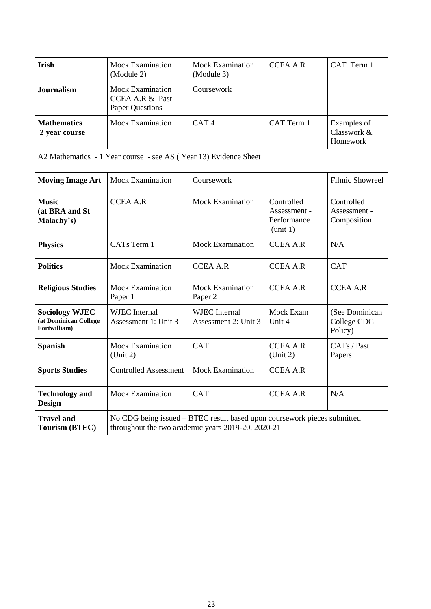| <b>Irish</b>                                                                                                                                                                 | <b>Mock Examination</b><br>(Module 2)                                | <b>Mock Examination</b><br>(Module 3)        | <b>CCEA A.R</b>                                       | CAT Term 1                                |
|------------------------------------------------------------------------------------------------------------------------------------------------------------------------------|----------------------------------------------------------------------|----------------------------------------------|-------------------------------------------------------|-------------------------------------------|
| <b>Journalism</b>                                                                                                                                                            | <b>Mock Examination</b><br>CCEA A.R & Past<br><b>Paper Questions</b> | Coursework                                   |                                                       |                                           |
| <b>Mathematics</b><br>2 year course                                                                                                                                          | <b>Mock Examination</b>                                              | CAT <sub>4</sub>                             | CAT Term 1                                            | Examples of<br>Classwork &<br>Homework    |
|                                                                                                                                                                              | A2 Mathematics - 1 Year course - see AS (Year 13) Evidence Sheet     |                                              |                                                       |                                           |
| <b>Moving Image Art</b>                                                                                                                                                      | <b>Mock Examination</b>                                              | Coursework                                   |                                                       | <b>Filmic Showreel</b>                    |
| <b>Music</b><br>(at BRA and St<br>Malachy's)                                                                                                                                 | <b>CCEA A.R</b>                                                      | <b>Mock Examination</b>                      | Controlled<br>Assessment -<br>Performance<br>(unit 1) | Controlled<br>Assessment -<br>Composition |
| <b>Physics</b>                                                                                                                                                               | CATs Term 1                                                          | <b>Mock Examination</b>                      | <b>CCEA A.R</b>                                       | N/A                                       |
| <b>Politics</b>                                                                                                                                                              | <b>Mock Examination</b>                                              | <b>CCEA A.R</b>                              | <b>CCEA A.R</b>                                       | <b>CAT</b>                                |
| <b>Religious Studies</b>                                                                                                                                                     | <b>Mock Examination</b><br>Paper 1                                   | <b>Mock Examination</b><br>Paper 2           | <b>CCEA A.R</b>                                       | <b>CCEA A.R</b>                           |
| <b>Sociology WJEC</b><br>(at Dominican College<br>Fortwilliam)                                                                                                               | <b>WJEC</b> Internal<br>Assessment 1: Unit 3                         | <b>WJEC</b> Internal<br>Assessment 2: Unit 3 | Mock Exam<br>Unit 4                                   | (See Dominican<br>College CDG<br>Policy)  |
| <b>Spanish</b>                                                                                                                                                               | <b>Mock Examination</b><br>(Unit 2)                                  | <b>CAT</b>                                   | <b>CCEA A.R</b><br>(Unit 2)                           | CATs / Past<br>Papers                     |
| <b>Sports Studies</b>                                                                                                                                                        | <b>Controlled Assessment</b>                                         | <b>Mock Examination</b>                      | <b>CCEA A.R</b>                                       |                                           |
| <b>Technology and</b><br><b>Design</b>                                                                                                                                       | <b>Mock Examination</b>                                              | <b>CAT</b>                                   | <b>CCEA A.R</b>                                       | N/A                                       |
| No CDG being issued – BTEC result based upon coursework pieces submitted<br><b>Travel and</b><br>throughout the two academic years 2019-20, 2020-21<br><b>Tourism (BTEC)</b> |                                                                      |                                              |                                                       |                                           |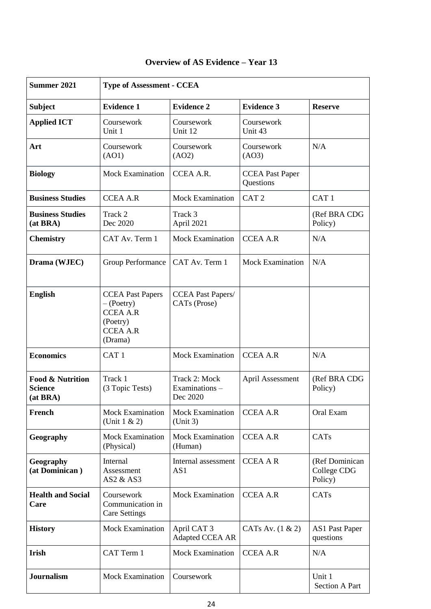| <b>Summer 2021</b>                                        | <b>Type of Assessment - CCEA</b>                                                                        |                                            |                                     |                                          |
|-----------------------------------------------------------|---------------------------------------------------------------------------------------------------------|--------------------------------------------|-------------------------------------|------------------------------------------|
| <b>Subject</b>                                            | <b>Evidence 1</b>                                                                                       | <b>Evidence 2</b>                          | <b>Evidence 3</b>                   | <b>Reserve</b>                           |
| <b>Applied ICT</b>                                        | Coursework<br>Unit 1                                                                                    | Coursework<br>Unit 12                      | Coursework<br>Unit 43               |                                          |
| Art                                                       | Coursework<br>(AO1)                                                                                     | Coursework<br>(AO2)                        | Coursework<br>(AO3)                 | N/A                                      |
| <b>Biology</b>                                            | <b>Mock Examination</b>                                                                                 | CCEA A.R.                                  | <b>CCEA Past Paper</b><br>Questions |                                          |
| <b>Business Studies</b>                                   | <b>CCEA A.R</b>                                                                                         | <b>Mock Examination</b>                    | CAT <sub>2</sub>                    | CAT <sub>1</sub>                         |
| <b>Business Studies</b><br>(at <b>BRA</b> )               | Track 2<br>Dec 2020                                                                                     | Track 3<br>April 2021                      |                                     | (Ref BRA CDG<br>Policy)                  |
| <b>Chemistry</b>                                          | CAT Av. Term 1                                                                                          | <b>Mock Examination</b>                    | <b>CCEA A.R</b>                     | N/A                                      |
| Drama (WJEC)                                              | Group Performance                                                                                       | CAT Av. Term 1                             | Mock Examination                    | N/A                                      |
| <b>English</b>                                            | <b>CCEA Past Papers</b><br>$-($ Poetry $)$<br><b>CCEA A.R</b><br>(Poetry)<br><b>CCEA A.R</b><br>(Drama) | <b>CCEA Past Papers/</b><br>CATs (Prose)   |                                     |                                          |
| <b>Economics</b>                                          | CAT <sub>1</sub>                                                                                        | <b>Mock Examination</b>                    | <b>CCEA A.R</b>                     | N/A                                      |
| <b>Food &amp; Nutrition</b><br><b>Science</b><br>(at BRA) | Track 1<br>(3 Topic Tests)                                                                              | Track 2: Mock<br>Examinations-<br>Dec 2020 | April Assessment                    | (Ref BRA CDG<br>Policy)                  |
| French                                                    | <b>Mock Examination</b><br>(Unit $1 & 2$ )                                                              | <b>Mock Examination</b><br>(Unit 3)        | <b>CCEA A.R</b>                     | Oral Exam                                |
| Geography                                                 | <b>Mock Examination</b><br>(Physical)                                                                   | <b>Mock Examination</b><br>(Human)         | <b>CCEA A.R</b>                     | CATs                                     |
| Geography<br>(at Dominican)                               | Internal<br>Assessment<br>AS2 & AS3                                                                     | Internal assessment<br>AS1                 | <b>CCEA A R</b>                     | (Ref Dominican<br>College CDG<br>Policy) |
| <b>Health and Social</b><br>Care                          | Coursework<br>Communication in<br><b>Care Settings</b>                                                  | <b>Mock Examination</b>                    | <b>CCEA A.R</b>                     | CATs                                     |
| <b>History</b>                                            | <b>Mock Examination</b>                                                                                 | April CAT 3<br>Adapted CCEA AR             | CATs Av. $(1 \& 2)$                 | <b>AS1 Past Paper</b><br>questions       |
| Irish                                                     | CAT Term 1                                                                                              | <b>Mock Examination</b>                    | <b>CCEA A.R</b>                     | N/A                                      |
| <b>Journalism</b>                                         | <b>Mock Examination</b>                                                                                 | Coursework                                 |                                     | Unit 1<br><b>Section A Part</b>          |

#### **Overview of AS Evidence – Year 13**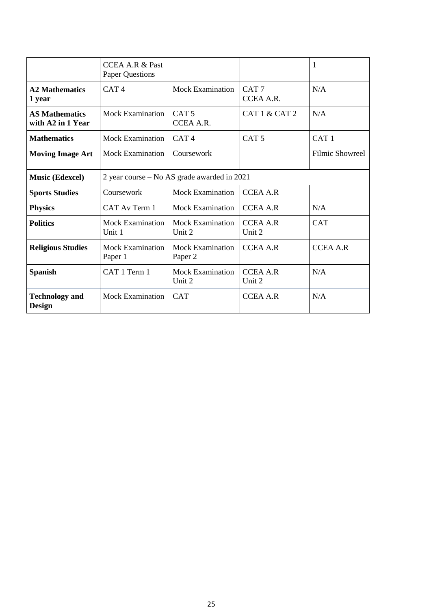|                                            | <b>CCEA A.R &amp; Past</b><br><b>Paper Questions</b> |                                    |                               |                        |  |
|--------------------------------------------|------------------------------------------------------|------------------------------------|-------------------------------|------------------------|--|
| <b>A2 Mathematics</b><br>1 year            | CAT <sub>4</sub>                                     | <b>Mock Examination</b>            | CAT <sub>7</sub><br>CCEA A.R. | N/A                    |  |
| <b>AS Mathematics</b><br>with A2 in 1 Year | <b>Mock Examination</b>                              | CAT <sub>5</sub><br>CCEA A.R.      | CAT 1 & CAT 2                 | N/A                    |  |
| <b>Mathematics</b>                         | <b>Mock Examination</b>                              | CAT <sub>4</sub>                   | CAT <sub>5</sub>              | CAT <sub>1</sub>       |  |
| <b>Moving Image Art</b>                    | <b>Mock Examination</b>                              | Coursework                         |                               | <b>Filmic Showreel</b> |  |
| <b>Music (Edexcel)</b>                     | 2 year course – No AS grade awarded in 2021          |                                    |                               |                        |  |
| <b>Sports Studies</b>                      | Coursework                                           | <b>Mock Examination</b>            | <b>CCEA A.R</b>               |                        |  |
| <b>Physics</b>                             | CAT Av Term 1                                        | <b>Mock Examination</b>            | <b>CCEA A.R</b>               | N/A                    |  |
| <b>Politics</b>                            | <b>Mock Examination</b><br>Unit 1                    | <b>Mock Examination</b><br>Unit 2  | <b>CCEA A.R</b><br>Unit 2     | <b>CAT</b>             |  |
| <b>Religious Studies</b>                   | <b>Mock Examination</b><br>Paper 1                   | <b>Mock Examination</b><br>Paper 2 | <b>CCEA A.R</b>               | <b>CCEA A.R</b>        |  |
| <b>Spanish</b>                             | CAT 1 Term 1                                         | <b>Mock Examination</b><br>Unit 2  | <b>CCEA A.R</b><br>Unit 2     | N/A                    |  |
| <b>Technology and</b><br><b>Design</b>     | <b>Mock Examination</b>                              | <b>CAT</b>                         | <b>CCEA A.R</b>               | N/A                    |  |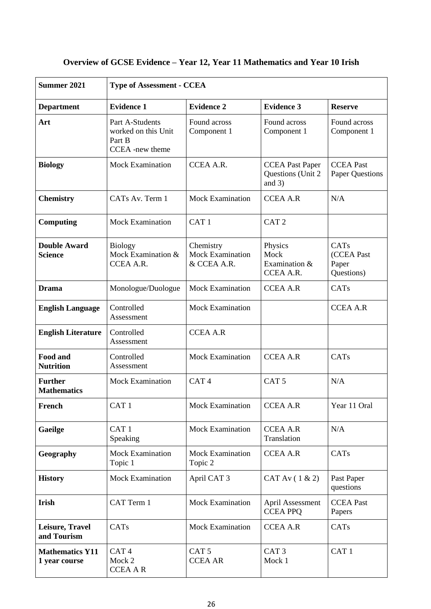| <b>Summer 2021</b>                      | <b>Type of Assessment - CCEA</b>                                    |                                                     |                                                          |                                            |  |
|-----------------------------------------|---------------------------------------------------------------------|-----------------------------------------------------|----------------------------------------------------------|--------------------------------------------|--|
| <b>Department</b>                       | <b>Evidence 1</b>                                                   | <b>Evidence 2</b>                                   | <b>Evidence 3</b>                                        | <b>Reserve</b>                             |  |
| Art                                     | Part A-Students<br>worked on this Unit<br>Part B<br>CCEA -new theme | Found across<br>Component 1                         | Found across<br>Component 1                              | Found across<br>Component 1                |  |
| <b>Biology</b>                          | <b>Mock Examination</b>                                             | <b>CCEA A.R.</b>                                    | <b>CCEA Past Paper</b><br>Questions (Unit 2)<br>and $3)$ | <b>CCEA</b> Past<br><b>Paper Questions</b> |  |
| <b>Chemistry</b>                        | CATs Av. Term 1                                                     | <b>Mock Examination</b>                             | <b>CCEA A.R</b>                                          | N/A                                        |  |
| <b>Computing</b>                        | <b>Mock Examination</b>                                             | CAT <sub>1</sub>                                    | CAT <sub>2</sub>                                         |                                            |  |
| <b>Double Award</b><br><b>Science</b>   | <b>Biology</b><br>Mock Examination &<br>CCEA A.R.                   | Chemistry<br><b>Mock Examination</b><br>& CCEA A.R. | Physics<br>Mock<br>Examination &<br>CCEA A.R.            | CATs<br>(CCEA Past<br>Paper<br>Questions)  |  |
| <b>Drama</b>                            | Monologue/Duologue                                                  | <b>Mock Examination</b>                             | <b>CCEA A.R</b>                                          | CATs                                       |  |
| <b>English Language</b>                 | Controlled<br>Assessment                                            | <b>Mock Examination</b>                             |                                                          | <b>CCEA A.R</b>                            |  |
| <b>English Literature</b>               | Controlled<br>Assessment                                            | <b>CCEA A.R</b>                                     |                                                          |                                            |  |
| Food and<br><b>Nutrition</b>            | Controlled<br>Assessment                                            | <b>Mock Examination</b>                             | <b>CCEA A.R</b>                                          | CATs                                       |  |
| <b>Further</b><br><b>Mathematics</b>    | <b>Mock Examination</b>                                             | CAT <sub>4</sub>                                    | CAT <sub>5</sub>                                         | N/A                                        |  |
| French                                  | CAT <sub>1</sub>                                                    | <b>Mock Examination</b>                             | <b>CCEA A.R</b>                                          | Year 11 Oral                               |  |
| Gaeilge                                 | CAT <sub>1</sub><br>Speaking                                        | <b>Mock Examination</b>                             | <b>CCEA A.R</b><br>Translation                           | N/A                                        |  |
| Geography                               | <b>Mock Examination</b><br>Topic 1                                  | <b>Mock Examination</b><br>Topic 2                  | <b>CCEA A.R</b>                                          | CATs                                       |  |
| <b>History</b>                          | <b>Mock Examination</b>                                             | April CAT 3                                         | CAT Av $(1 \& 2)$                                        | Past Paper<br>questions                    |  |
| Irish                                   | CAT Term 1                                                          | <b>Mock Examination</b>                             | April Assessment<br><b>CCEA PPQ</b>                      | <b>CCEA Past</b><br>Papers                 |  |
| Leisure, Travel<br>and Tourism          | CATs                                                                | <b>Mock Examination</b>                             | <b>CCEA A.R</b>                                          | CATs                                       |  |
| <b>Mathematics Y11</b><br>1 year course | CAT <sub>4</sub><br>Mock 2<br><b>CCEA A R</b>                       | CAT <sub>5</sub><br><b>CCEA AR</b>                  | CAT <sub>3</sub><br>Mock 1                               | CAT <sub>1</sub>                           |  |

## **Overview of GCSE Evidence – Year 12, Year 11 Mathematics and Year 10 Irish**